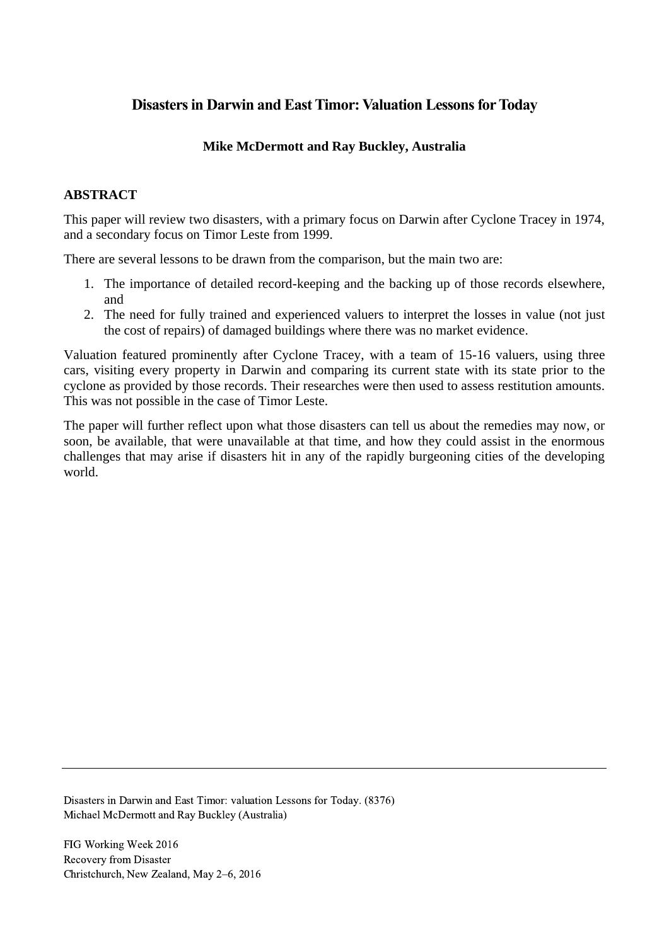# **Disasters in Darwin and East Timor: Valuation Lessons for Today**

## **Mike McDermott and Ray Buckley, Australia**

### **ABSTRACT**

This paper will review two disasters, with a primary focus on Darwin after Cyclone Tracey in 1974, and a secondary focus on Timor Leste from 1999.

There are several lessons to be drawn from the comparison, but the main two are:

- 1. The importance of detailed record-keeping and the backing up of those records elsewhere, and
- 2. The need for fully trained and experienced valuers to interpret the losses in value (not just the cost of repairs) of damaged buildings where there was no market evidence.

Valuation featured prominently after Cyclone Tracey, with a team of 15-16 valuers, using three cars, visiting every property in Darwin and comparing its current state with its state prior to the cyclone as provided by those records. Their researches were then used to assess restitution amounts. This was not possible in the case of Timor Leste.

The paper will further reflect upon what those disasters can tell us about the remedies may now, or soon, be available, that were unavailable at that time, and how they could assist in the enormous challenges that may arise if disasters hit in any of the rapidly burgeoning cities of the developing world.

Disasters in Darwin and East Timor: valuation Lessons for Today. (8376) Michael McDermott and Ray Buckley (Australia)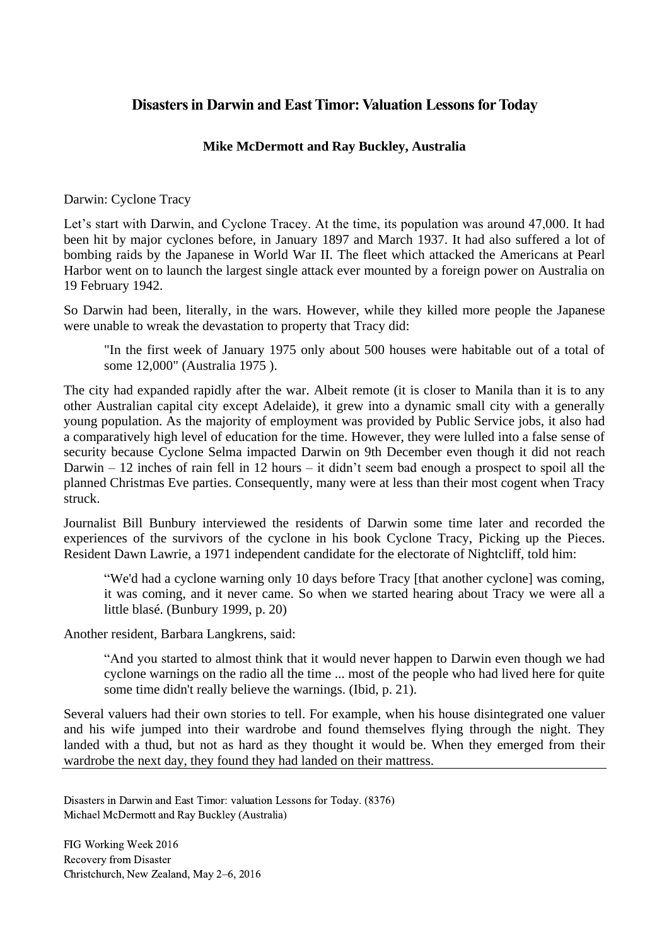## **Disasters in Darwin and East Timor: Valuation Lessons for Today**

### **Mike McDermott and Ray Buckley, Australia**

Darwin: Cyclone Tracy

Let's start with Darwin, and Cyclone Tracey. At the time, its population was around 47,000. It had been hit by major cyclones before, in January 1897 and March 1937. It had also suffered a lot of bombing raids by the Japanese in World War II. The fleet which attacked the Americans at Pearl Harbor went on to launch the largest single attack ever mounted by a foreign power on Australia on 19 February 1942.

So Darwin had been, literally, in the wars. However, while they killed more people the Japanese were unable to wreak the devastation to property that Tracy did:

"In the first week of January 1975 only about 500 houses were habitable out of a total of some 12,000" (Australia 1975 ).

The city had expanded rapidly after the war. Albeit remote (it is closer to Manila than it is to any other Australian capital city except Adelaide), it grew into a dynamic small city with a generally young population. As the majority of employment was provided by Public Service jobs, it also had a comparatively high level of education for the time. However, they were lulled into a false sense of security because Cyclone Selma impacted Darwin on 9th December even though it did not reach Darwin – 12 inches of rain fell in 12 hours – it didn't seem bad enough a prospect to spoil all the planned Christmas Eve parties. Consequently, many were at less than their most cogent when Tracy struck.

Journalist Bill Bunbury interviewed the residents of Darwin some time later and recorded the experiences of the survivors of the cyclone in his book Cyclone Tracy, Picking up the Pieces. Resident Dawn Lawrie, a 1971 independent candidate for the electorate of Nightcliff, told him:

"We'd had a cyclone warning only 10 days before Tracy [that another cyclone] was coming, it was coming, and it never came. So when we started hearing about Tracy we were all a little blasé. (Bunbury 1999, p. 20)

Another resident, Barbara Langkrens, said:

"And you started to almost think that it would never happen to Darwin even though we had cyclone warnings on the radio all the time ... most of the people who had lived here for quite some time didn't really believe the warnings. (Ibid, p. 21).

Several valuers had their own stories to tell. For example, when his house disintegrated one valuer and his wife jumped into their wardrobe and found themselves flying through the night. They landed with a thud, but not as hard as they thought it would be. When they emerged from their wardrobe the next day, they found they had landed on their mattress.

Disasters in Darwin and East Timor: valuation Lessons for Today. (8376) Michael McDermott and Ray Buckley (Australia)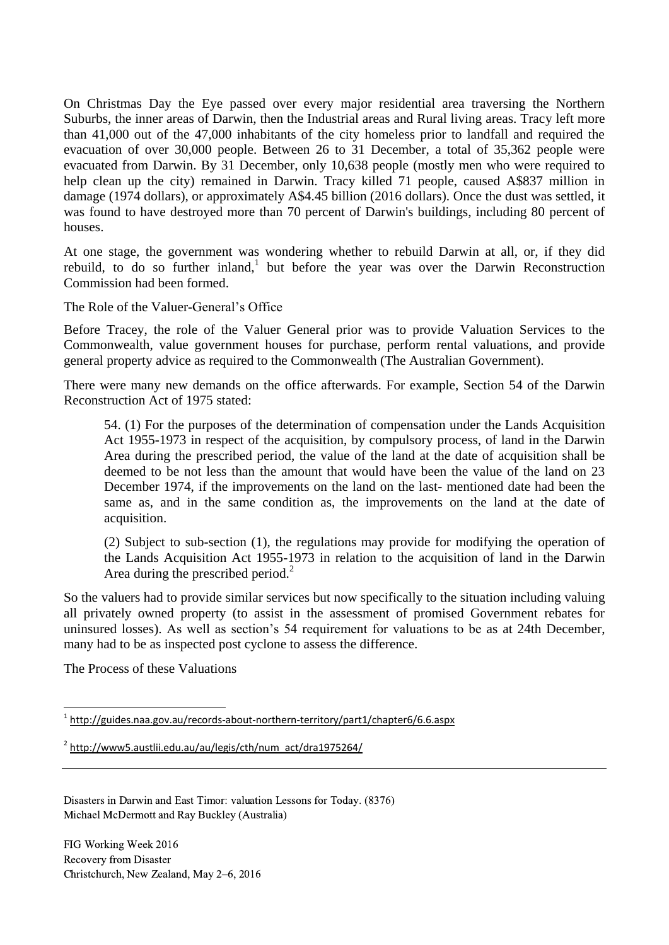On Christmas Day the Eye passed over every major residential area traversing the Northern Suburbs, the inner areas of Darwin, then the Industrial areas and Rural living areas. Tracy left more than 41,000 out of the 47,000 inhabitants of the city homeless prior to landfall and required the evacuation of over 30,000 people. Between 26 to 31 December, a total of 35,362 people were evacuated from Darwin. By 31 December, only 10,638 people (mostly men who were required to help clean up the city) remained in Darwin. Tracy killed 71 people, caused A\$837 million in damage (1974 dollars), or approximately A\$4.45 billion (2016 dollars). Once the dust was settled, it was found to have destroyed more than 70 percent of Darwin's buildings, including 80 percent of houses.

At one stage, the government was wondering whether to rebuild Darwin at all, or, if they did rebuild, to do so further inland,<sup>1</sup> but before the year was over the Darwin Reconstruction Commission had been formed.

The Role of the Valuer-General's Office

Before Tracey, the role of the Valuer General prior was to provide Valuation Services to the Commonwealth, value government houses for purchase, perform rental valuations, and provide general property advice as required to the Commonwealth (The Australian Government).

There were many new demands on the office afterwards. For example, Section 54 of the Darwin Reconstruction Act of 1975 stated:

54. (1) For the purposes of the determination of compensation under the Lands Acquisition Act 1955-1973 in respect of the acquisition, by compulsory process, of land in the Darwin Area during the prescribed period, the value of the land at the date of acquisition shall be deemed to be not less than the amount that would have been the value of the land on 23 December 1974, if the improvements on the land on the last- mentioned date had been the same as, and in the same condition as, the improvements on the land at the date of acquisition.

(2) Subject to sub-section (1), the regulations may provide for modifying the operation of the Lands Acquisition Act 1955-1973 in relation to the acquisition of land in the Darwin Area during the prescribed period.<sup>2</sup>

So the valuers had to provide similar services but now specifically to the situation including valuing all privately owned property (to assist in the assessment of promised Government rebates for uninsured losses). As well as section's 54 requirement for valuations to be as at 24th December, many had to be as inspected post cyclone to assess the difference.

The Process of these Valuations

<sup>2</sup> [http://www5.austlii.edu.au/au/legis/cth/num\\_act/dra1975264/](http://www5.austlii.edu.au/au/legis/cth/num_act/dra1975264/)

Disasters in Darwin and East Timor: valuation Lessons for Today. (8376) Michael McDermott and Ray Buckley (Australia)

 $\overline{\phantom{a}}$ <sup>1</sup> <http://guides.naa.gov.au/records-about-northern-territory/part1/chapter6/6.6.aspx>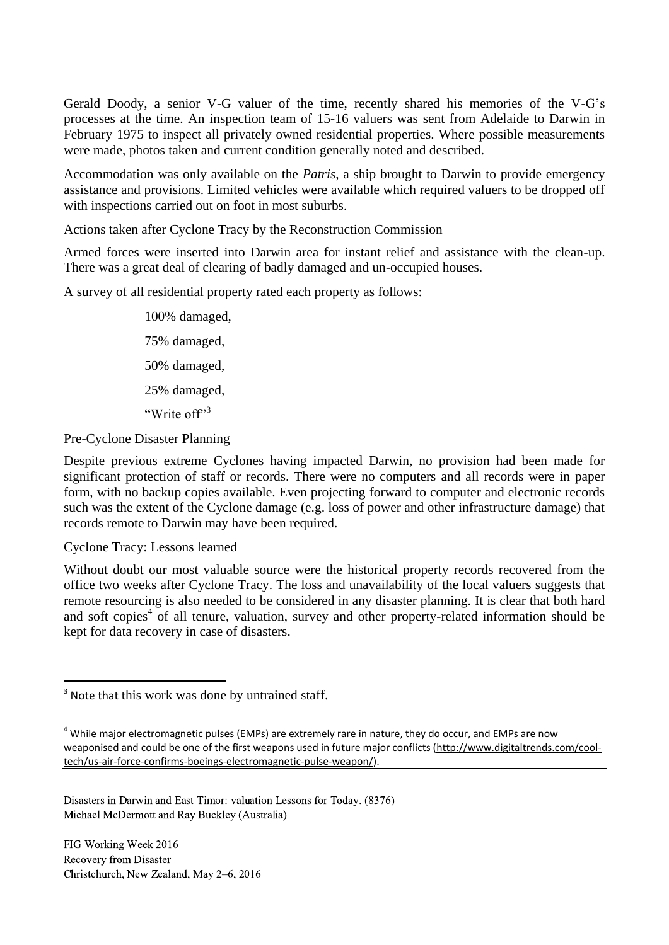Gerald Doody, a senior V-G valuer of the time, recently shared his memories of the V-G's processes at the time. An inspection team of 15-16 valuers was sent from Adelaide to Darwin in February 1975 to inspect all privately owned residential properties. Where possible measurements were made, photos taken and current condition generally noted and described.

Accommodation was only available on the *Patris*, a ship brought to Darwin to provide emergency assistance and provisions. Limited vehicles were available which required valuers to be dropped off with inspections carried out on foot in most suburbs.

Actions taken after Cyclone Tracy by the Reconstruction Commission

Armed forces were inserted into Darwin area for instant relief and assistance with the clean-up. There was a great deal of clearing of badly damaged and un-occupied houses.

A survey of all residential property rated each property as follows:

100% damaged, 75% damaged, 50% damaged, 25% damaged, "Write of <sup>13</sup>

Pre-Cyclone Disaster Planning

Despite previous extreme Cyclones having impacted Darwin, no provision had been made for significant protection of staff or records. There were no computers and all records were in paper form, with no backup copies available. Even projecting forward to computer and electronic records such was the extent of the Cyclone damage (e.g. loss of power and other infrastructure damage) that records remote to Darwin may have been required.

Cyclone Tracy: Lessons learned

l

Without doubt our most valuable source were the historical property records recovered from the office two weeks after Cyclone Tracy. The loss and unavailability of the local valuers suggests that remote resourcing is also needed to be considered in any disaster planning. It is clear that both hard and soft copies<sup>4</sup> of all tenure, valuation, survey and other property-related information should be kept for data recovery in case of disasters.

Disasters in Darwin and East Timor: valuation Lessons for Today. (8376) Michael McDermott and Ray Buckley (Australia)

<sup>&</sup>lt;sup>3</sup> Note that this work was done by untrained staff.

 $4$  While major electromagnetic pulses (EMPs) are extremely rare in nature, they do occur, and EMPs are now weaponised and could be one of the first weapons used in future major conflicts [\(http://www.digitaltrends.com/cool](http://www.digitaltrends.com/cool-tech/us-air-force-confirms-boeings-electromagnetic-pulse-weapon/)[tech/us-air-force-confirms-boeings-electromagnetic-pulse-weapon/\)](http://www.digitaltrends.com/cool-tech/us-air-force-confirms-boeings-electromagnetic-pulse-weapon/).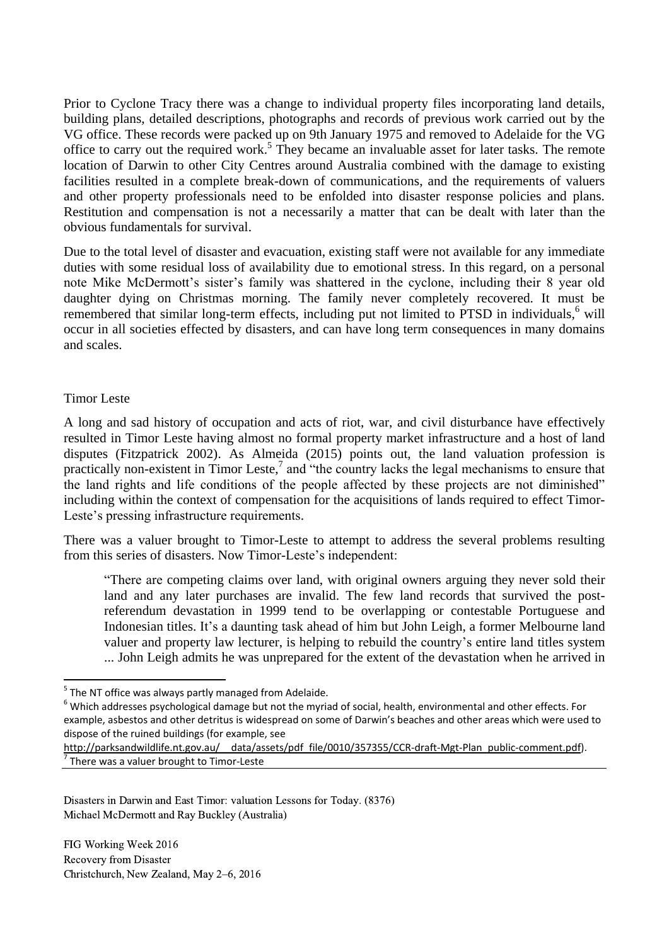Prior to Cyclone Tracy there was a change to individual property files incorporating land details, building plans, detailed descriptions, photographs and records of previous work carried out by the VG office. These records were packed up on 9th January 1975 and removed to Adelaide for the VG office to carry out the required work.<sup>5</sup> They became an invaluable asset for later tasks. The remote location of Darwin to other City Centres around Australia combined with the damage to existing facilities resulted in a complete break-down of communications, and the requirements of valuers and other property professionals need to be enfolded into disaster response policies and plans. Restitution and compensation is not a necessarily a matter that can be dealt with later than the obvious fundamentals for survival.

Due to the total level of disaster and evacuation, existing staff were not available for any immediate duties with some residual loss of availability due to emotional stress. In this regard, on a personal note Mike McDermott's sister's family was shattered in the cyclone, including their 8 year old daughter dying on Christmas morning. The family never completely recovered. It must be remembered that similar long-term effects, including put not limited to PTSD in individuals,  $6$  will occur in all societies effected by disasters, and can have long term consequences in many domains and scales.

### Timor Leste

 $\overline{a}$ 

A long and sad history of occupation and acts of riot, war, and civil disturbance have effectively resulted in Timor Leste having almost no formal property market infrastructure and a host of land disputes (Fitzpatrick 2002). As Almeida (2015) points out, the land valuation profession is practically non-existent in Timor Leste, 7 and "the country lacks the legal mechanisms to ensure that the land rights and life conditions of the people affected by these projects are not diminished" including within the context of compensation for the acquisitions of lands required to effect Timor-Leste's pressing infrastructure requirements.

There was a valuer brought to Timor-Leste to attempt to address the several problems resulting from this series of disasters. Now Timor-Leste's independent:

"There are competing claims over land, with original owners arguing they never sold their land and any later purchases are invalid. The few land records that survived the postreferendum devastation in 1999 tend to be overlapping or contestable Portuguese and Indonesian titles. It's a daunting task ahead of him but John Leigh, a former Melbourne land valuer and property law lecturer, is helping to rebuild the country's entire land titles system ... John Leigh admits he was unprepared for the extent of the devastation when he arrived in

Disasters in Darwin and East Timor: valuation Lessons for Today. (8376) Michael McDermott and Ray Buckley (Australia)

<sup>&</sup>lt;sup>5</sup> The NT office was always partly managed from Adelaide.

 $6$  Which addresses psychological damage but not the myriad of social, health, environmental and other effects. For example, asbestos and other detritus is widespread on some of Darwin's beaches and other areas which were used to dispose of the ruined buildings (for example, see

[http://parksandwildlife.nt.gov.au/\\_\\_data/assets/pdf\\_file/0010/357355/CCR-draft-Mgt-Plan\\_public-comment.pdf\)](http://parksandwildlife.nt.gov.au/__data/assets/pdf_file/0010/357355/CCR-draft-Mgt-Plan_public-comment.pdf). 7 There was a valuer brought to Timor-Leste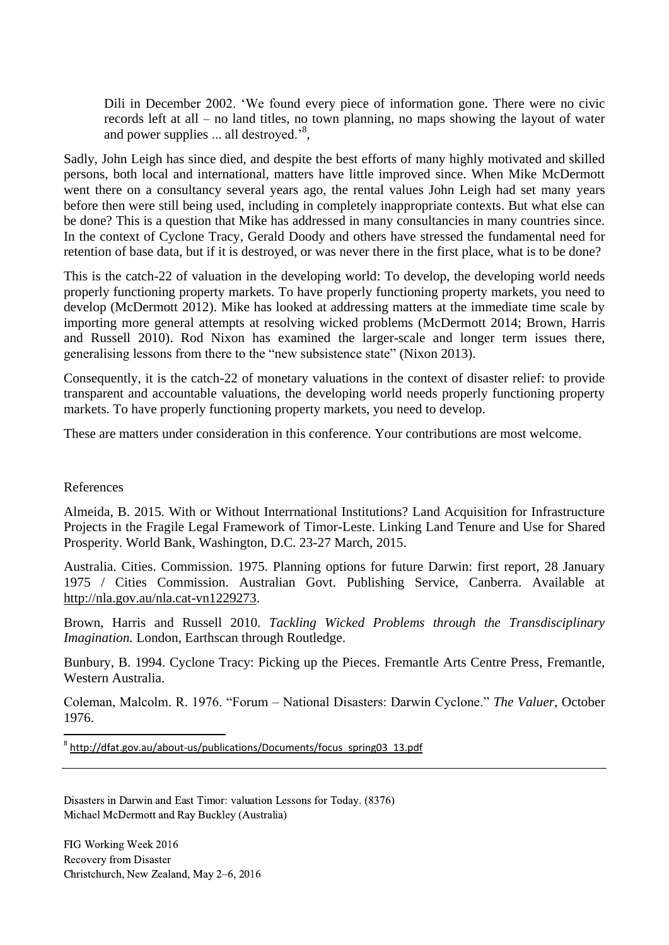Dili in December 2002. 'We found every piece of information gone. There were no civic records left at all – no land titles, no town planning, no maps showing the layout of water and power supplies  $\dots$  all destroyed.<sup>8</sup>,

Sadly, John Leigh has since died, and despite the best efforts of many highly motivated and skilled persons, both local and international, matters have little improved since. When Mike McDermott went there on a consultancy several years ago, the rental values John Leigh had set many years before then were still being used, including in completely inappropriate contexts. But what else can be done? This is a question that Mike has addressed in many consultancies in many countries since. In the context of Cyclone Tracy, Gerald Doody and others have stressed the fundamental need for retention of base data, but if it is destroyed, or was never there in the first place, what is to be done?

This is the catch-22 of valuation in the developing world: To develop, the developing world needs properly functioning property markets. To have properly functioning property markets, you need to develop (McDermott 2012). Mike has looked at addressing matters at the immediate time scale by importing more general attempts at resolving wicked problems (McDermott 2014; Brown, Harris and Russell 2010). Rod Nixon has examined the larger-scale and longer term issues there, generalising lessons from there to the "new subsistence state" (Nixon 2013).

Consequently, it is the catch-22 of monetary valuations in the context of disaster relief: to provide transparent and accountable valuations, the developing world needs properly functioning property markets. To have properly functioning property markets, you need to develop.

These are matters under consideration in this conference. Your contributions are most welcome.

#### References

 $\overline{\phantom{a}}$ 

Almeida, B. 2015. With or Without Interrnational Institutions? Land Acquisition for Infrastructure Projects in the Fragile Legal Framework of Timor-Leste. Linking Land Tenure and Use for Shared Prosperity. World Bank, Washington, D.C. 23-27 March, 2015.

Australia. Cities. Commission. 1975. Planning options for future Darwin: first report, 28 January 1975 / Cities Commission. Australian Govt. Publishing Service, Canberra. Available at [http://nla.gov.au/nla.cat-vn1229273.](http://nla.gov.au/nla.cat-vn1229273)

Brown, Harris and Russell 2010. *Tackling Wicked Problems through the Transdisciplinary Imagination.* London, Earthscan through Routledge.

Bunbury, B. 1994. Cyclone Tracy: Picking up the Pieces. Fremantle Arts Centre Press, Fremantle, Western Australia.

Coleman, Malcolm. R. 1976. "Forum – National Disasters: Darwin Cyclone." *The Valuer*, October 1976.

<sup>8</sup> [http://dfat.gov.au/about-us/publications/Documents/focus\\_spring03\\_13.pdf](http://dfat.gov.au/about-us/publications/Documents/focus_spring03_13.pdf)

Disasters in Darwin and East Timor: valuation Lessons for Today. (8376) Michael McDermott and Ray Buckley (Australia)